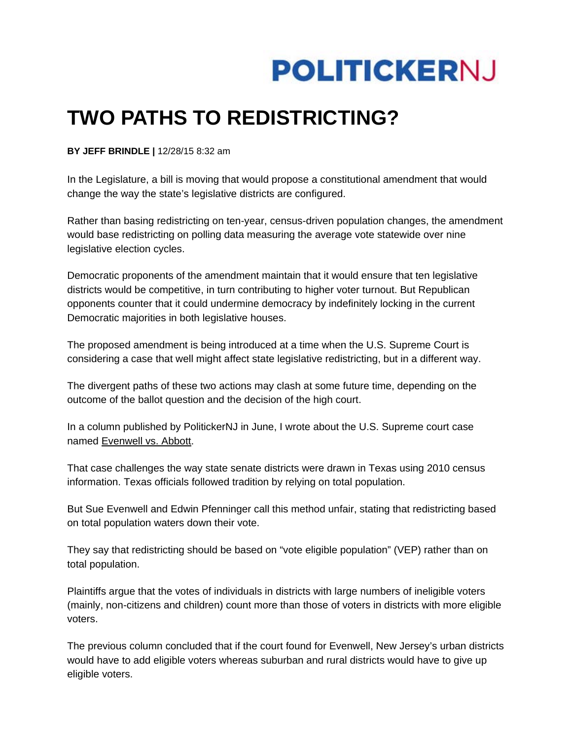

## **TWO PATHS TO REDISTRICTING?**

**BY JEFF BRINDLE |** 12/28/15 8:32 am

In the Legislature, a bill is moving that would propose a constitutional amendment that would change the way the state's legislative districts are configured.

Rather than basing redistricting on ten-year, census-driven population changes, the amendment would base redistricting on polling data measuring the average vote statewide over nine legislative election cycles.

Democratic proponents of the amendment maintain that it would ensure that ten legislative districts would be competitive, in turn contributing to higher voter turnout. But Republican opponents counter that it could undermine democracy by indefinitely locking in the current Democratic majorities in both legislative houses.

The proposed amendment is being introduced at a time when the U.S. Supreme Court is considering a case that well might affect state legislative redistricting, but in a different way.

The divergent paths of these two actions may clash at some future time, depending on the outcome of the ballot question and the decision of the high court.

In a column published by PolitickerNJ in June, I wrote about the U.S. Supreme court case named Evenwell vs. Abbott.

That case challenges the way state senate districts were drawn in Texas using 2010 census information. Texas officials followed tradition by relying on total population.

But Sue Evenwell and Edwin Pfenninger call this method unfair, stating that redistricting based on total population waters down their vote.

They say that redistricting should be based on "vote eligible population" (VEP) rather than on total population.

Plaintiffs argue that the votes of individuals in districts with large numbers of ineligible voters (mainly, non-citizens and children) count more than those of voters in districts with more eligible voters.

The previous column concluded that if the court found for Evenwell, New Jersey's urban districts would have to add eligible voters whereas suburban and rural districts would have to give up eligible voters.